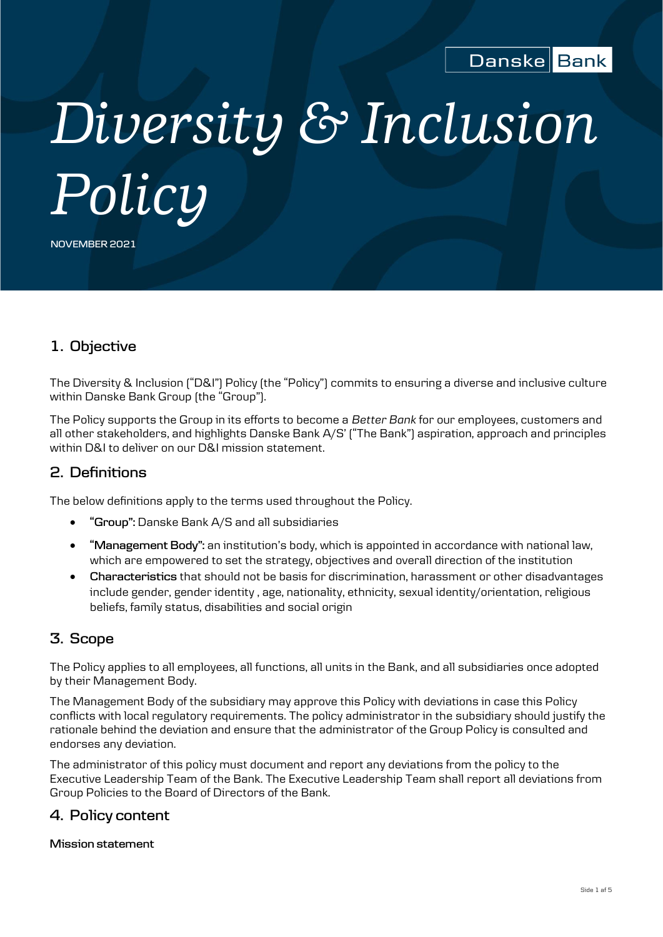

# *Diversity & Inclusion Policy*

**NOVEMBER 2021**

# **1. Objective**

The Diversity & Inclusion ("D&I") Policy (the "Policy") commits to ensuring a diverse and inclusive culture within Danske Bank Group (the "Group").

The Policy supports the Group in its efforts to become a *Better Bank* for our employees, customers and all other stakeholders, and highlights Danske Bank A/S' ("The Bank") aspiration, approach and principles within D&I to deliver on our D&I mission statement.

## **2. Definitions**

The below definitions apply to the terms used throughout the Policy.

- **"Group":** Danske Bank A/S and all subsidiaries
- **"Management Body":** an institution's body, which is appointed in accordance with national law, which are empowered to set the strategy, objectives and overall direction of the institution
- **Characteristics** that should not be basis for discrimination, harassment or other disadvantages include gender, gender identity , age, nationality, ethnicity, sexual identity/orientation, religious beliefs, family status, disabilities and social origin

## **3. Scope**

The Policy applies to all employees, all functions, all units in the Bank, and all subsidiaries once adopted by their Management Body.

The Management Body of the subsidiary may approve this Policy with deviations in case this Policy conflicts with local regulatory requirements. The policy administrator in the subsidiary should justify the rationale behind the deviation and ensure that the administrator of the Group Policy is consulted and endorses any deviation.

The administrator of this policy must document and report any deviations from the policy to the Executive Leadership Team of the Bank. The Executive Leadership Team shall report all deviations from Group Policies to the Board of Directors of the Bank.

## **4. Policy content**

#### **Mission statement**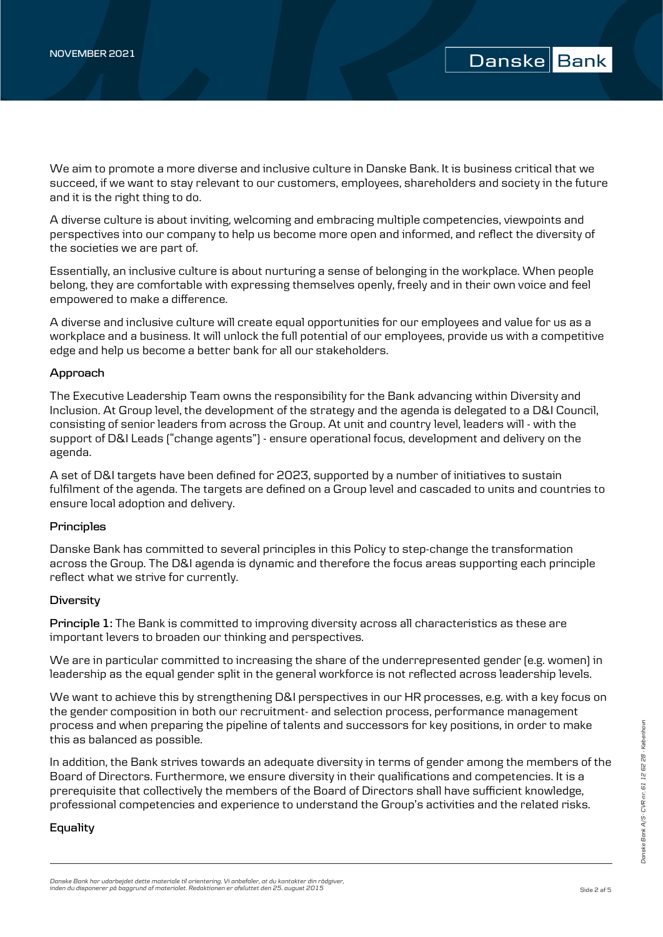We aim to promote a more diverse and inclusive culture in Danske Bank. It is business critical that we succeed, if we want to stay relevant to our customers, employees, shareholders and society in the future and it is the right thing to do.

A diverse culture is about inviting, welcoming and embracing multiple competencies, viewpoints and perspectives into our company to help us become more open and informed, and reflect the diversity of the societies we are part of.

Essentially, an inclusive culture is about nurturing a sense of belonging in the workplace. When people belong, they are comfortable with expressing themselves openly, freely and in their own voice and feel empowered to make a difference.

A diverse and inclusive culture will create equal opportunities for our employees and value for us as a workplace and a business. It will unlock the full potential of our employees, provide us with a competitive edge and help us become a better bank for all our stakeholders.

#### **Approach**

The Executive Leadership Team owns the responsibility for the Bank advancing within Diversity and Inclusion. At Group level, the development of the strategy and the agenda is delegated to a D&I Council, consisting of senior leaders from across the Group. At unit and country level, leaders will - with the support of D&I Leads ("change agents") - ensure operational focus, development and delivery on the agenda.

A set of D&I targets have been defined for 2023, supported by a number of initiatives to sustain fulfilment of the agenda. The targets are defined on a Group level and cascaded to units and countries to ensure local adoption and delivery.

#### **Principles**

Danske Bank has committed to several principles in this Policy to step-change the transformation across the Group. The D&I agenda is dynamic and therefore the focus areas supporting each principle reflect what we strive for currently.

#### **Diversity**

**Principle 1:** The Bank is committed to improving diversity across all characteristics as these are important levers to broaden our thinking and perspectives.

We are in particular committed to increasing the share of the underrepresented gender (e.g. women) in leadership as the equal gender split in the general workforce is not reflected across leadership levels.

We want to achieve this by strengthening D&I perspectives in our HR processes, e.g. with a key focus on the gender composition in both our recruitment- and selection process, performance management process and when preparing the pipeline of talents and successors for key positions, in order to make this as balanced as possible.

In addition, the Bank strives towards an adequate diversity in terms of gender among the members of the Board of Directors. Furthermore, we ensure diversity in their qualifications and competencies. It is a prerequisite that collectively the members of the Board of Directors shall have sufficient knowledge, professional competencies and experience to understand the Group's activities and the related risks.

#### **Equality**

Danske Bank A/S · CVR-nr. 61 12 62 28 · København *Danske Bank A/S · CVR-nr. 61 12 62 28 - København*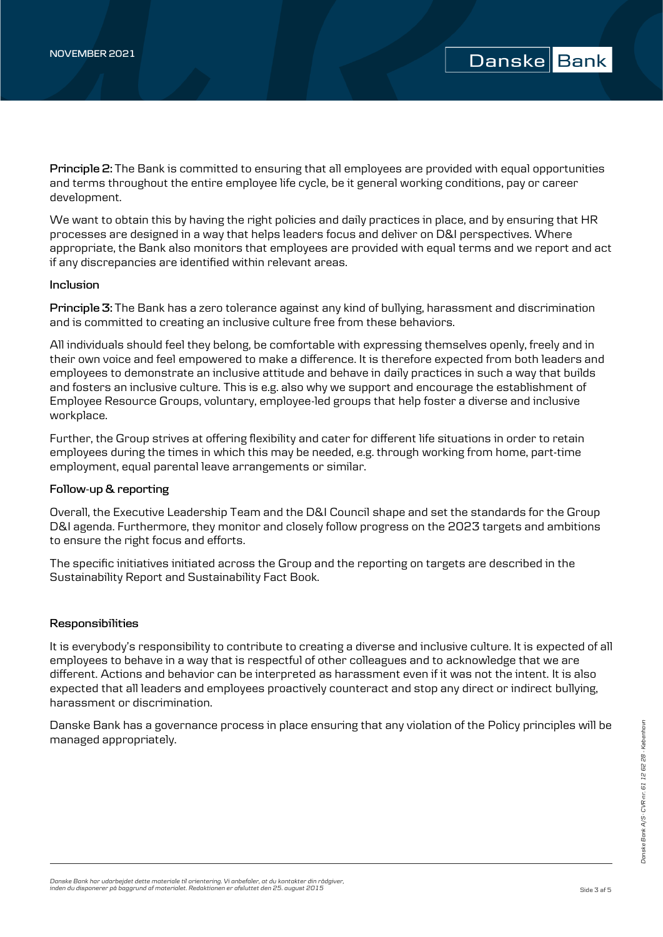**Principle 2:** The Bank is committed to ensuring that all employees are provided with equal opportunities and terms throughout the entire employee life cycle, be it general working conditions, pay or career development.

We want to obtain this by having the right policies and daily practices in place, and by ensuring that HR processes are designed in a way that helps leaders focus and deliver on D&I perspectives. Where appropriate, the Bank also monitors that employees are provided with equal terms and we report and act if any discrepancies are identified within relevant areas.

#### **Inclusion**

**Principle 3:** The Bank has a zero tolerance against any kind of bullying, harassment and discrimination and is committed to creating an inclusive culture free from these behaviors.

All individuals should feel they belong, be comfortable with expressing themselves openly, freely and in their own voice and feel empowered to make a difference. It is therefore expected from both leaders and employees to demonstrate an inclusive attitude and behave in daily practices in such a way that builds and fosters an inclusive culture. This is e.g. also why we support and encourage the establishment of Employee Resource Groups, voluntary, employee-led groups that help foster a diverse and inclusive workplace.

Further, the Group strives at offering flexibility and cater for different life situations in order to retain employees during the times in which this may be needed, e.g. through working from home, part-time employment, equal parental leave arrangements or similar.

#### **Follow-up & reporting**

Overall, the Executive Leadership Team and the D&I Council shape and set the standards for the Group D&I agenda. Furthermore, they monitor and closely follow progress on the 2023 targets and ambitions to ensure the right focus and efforts.

The specific initiatives initiated across the Group and the reporting on targets are described in the Sustainability Report and Sustainability Fact Book.

#### **Responsibilities**

It is everybody's responsibility to contribute to creating a diverse and inclusive culture. It is expected of all employees to behave in a way that is respectful of other colleagues and to acknowledge that we are different. Actions and behavior can be interpreted as harassment even if it was not the intent. It is also expected that all leaders and employees proactively counteract and stop any direct or indirect bullying, harassment or discrimination.

Danske Bank has a governance process in place ensuring that any violation of the Policy principles will be managed appropriately.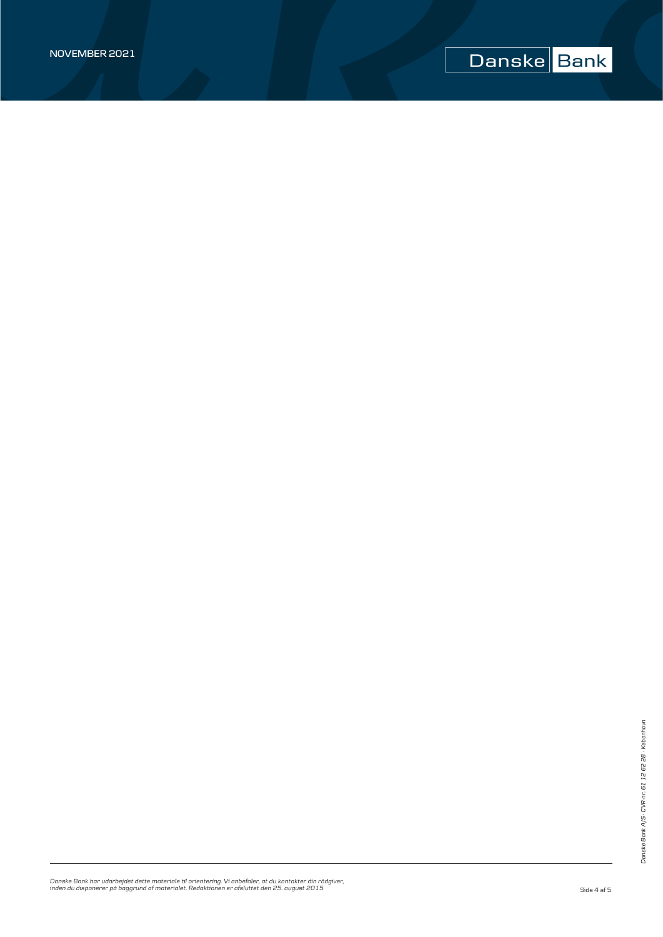